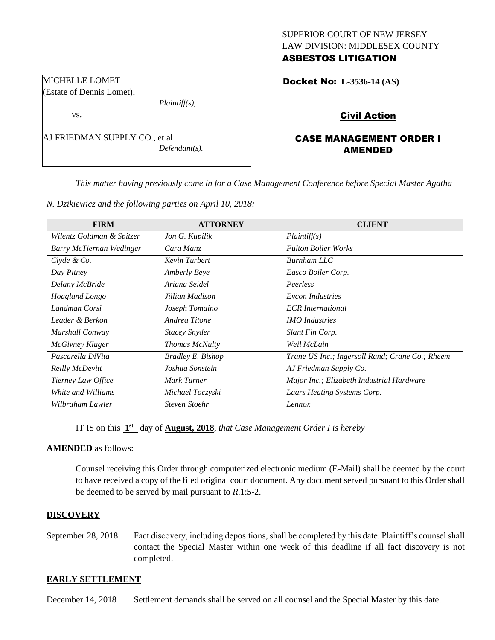## SUPERIOR COURT OF NEW JERSEY LAW DIVISION: MIDDLESEX COUNTY ASBESTOS LITIGATION

Docket No: **L-3536-14 (AS)** 

vs.

MICHELLE LOMET (Estate of Dennis Lomet),

AJ FRIEDMAN SUPPLY CO., et al *Defendant(s).*

## Civil Action

# CASE MANAGEMENT ORDER I AMENDED

*This matter having previously come in for a Case Management Conference before Special Master Agatha* 

*N. Dzikiewicz and the following parties on April 10, 2018:*

*Plaintiff(s),*

| <b>FIRM</b>               | <b>ATTORNEY</b>          | <b>CLIENT</b>                                   |
|---------------------------|--------------------------|-------------------------------------------------|
| Wilentz Goldman & Spitzer | Jon G. Kupilik           | Plaintiff(s)                                    |
| Barry McTiernan Wedinger  | Cara Manz                | <b>Fulton Boiler Works</b>                      |
| Clyde & Co.               | Kevin Turbert            | Burnham LLC                                     |
| Day Pitney                | <b>Amberly Beye</b>      | Easco Boiler Corp.                              |
| Delany McBride            | Ariana Seidel            | Peerless                                        |
| Hoagland Longo            | Jillian Madison          | <b>Evcon Industries</b>                         |
| Landman Corsi             | Joseph Tomaino           | <b>ECR</b> International                        |
| Leader & Berkon           | Andrea Titone            | <b>IMO</b> Industries                           |
| Marshall Conway           | <b>Stacey Snyder</b>     | Slant Fin Corp.                                 |
| <b>McGivney Kluger</b>    | Thomas McNulty           | Weil McLain                                     |
| Pascarella DiVita         | <b>Bradley E. Bishop</b> | Trane US Inc.; Ingersoll Rand; Crane Co.; Rheem |
| Reilly McDevitt           | Joshua Sonstein          | AJ Friedman Supply Co.                          |
| Tierney Law Office        | Mark Turner              | Major Inc.; Elizabeth Industrial Hardware       |
| White and Williams        | Michael Toczyski         | Laars Heating Systems Corp.                     |
| Wilbraham Lawler          | <b>Steven Stoehr</b>     | Lennox                                          |

IT IS on this  $1<sup>st</sup>$  day of **August, 2018**, *that Case Management Order I is hereby* 

#### **AMENDED** as follows:

Counsel receiving this Order through computerized electronic medium (E-Mail) shall be deemed by the court to have received a copy of the filed original court document. Any document served pursuant to this Order shall be deemed to be served by mail pursuant to *R*.1:5-2.

## **DISCOVERY**

September 28, 2018 Fact discovery, including depositions, shall be completed by this date. Plaintiff's counsel shall contact the Special Master within one week of this deadline if all fact discovery is not completed.

#### **EARLY SETTLEMENT**

December 14, 2018 Settlement demands shall be served on all counsel and the Special Master by this date.